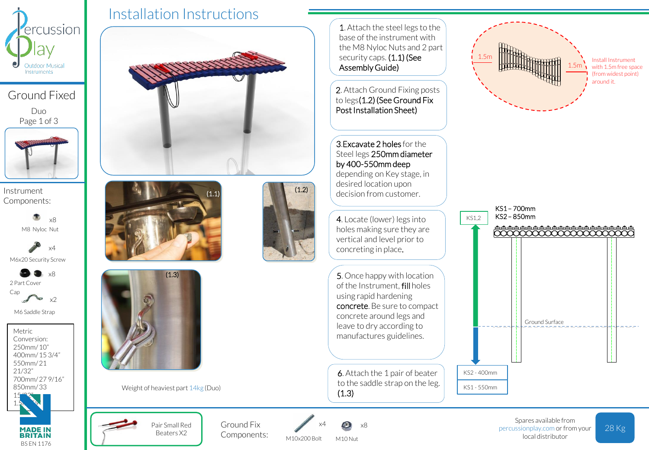

Ground Fixed

Duo Page 1 of 3



Instrument Components:

> M8 Nyloc Nut x8

M6x20 Security Screw x4

2 Part Cover Cap x8

**Sept** M6 Saddle Strap

x2

Metric Conversion: 250mm/ 10" 400mm/ 15 3/4" 550mm/ 21 21/32" 700mm/ 27 9/16" 850mm/ 33



**MADE IN BRITAIN** BS EN 1176 Pair Small Red Beaters X2

**Contractory** 

Installation Instructions





Weight of heaviest part 14kg (Duo)

Ground Fix Components:



M10 Nut

x8

M10x200 Bolt

1. Attach the steel legs to the base of the instrument with the M8 Nyloc Nuts and 2 part security caps. (1.1) (See Assembly Guide)

2. Attach Ground Fixing posts to legs(1.2) (See Ground Fix Post Installation Sheet)

3.Excavate 2 holes for the Steel legs 250mm diameter by 400-550mm deep depending on Key stage, in desired location upon decision from customer.

4. Locate (lower) legs into holes making sure they are vertical and level prior to concreting in place.

5. Once happy with location of the Instrument, fill holes using rapid hardening concrete. Be sure to compact concrete around legs and leave to dry according to manufactures guidelines.

6. Attach the 1 pair of beater to the saddle strap on the leg. (1.3)



Install Instrument with 1.5m free space (from widest point) around it.



percussionplay.com or from your local distributor

28 Kg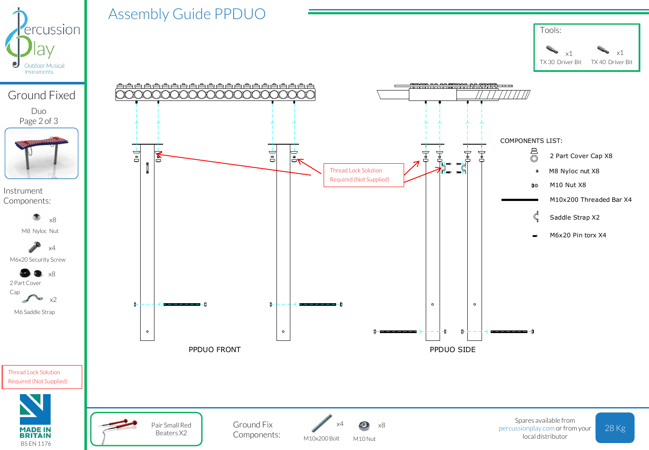